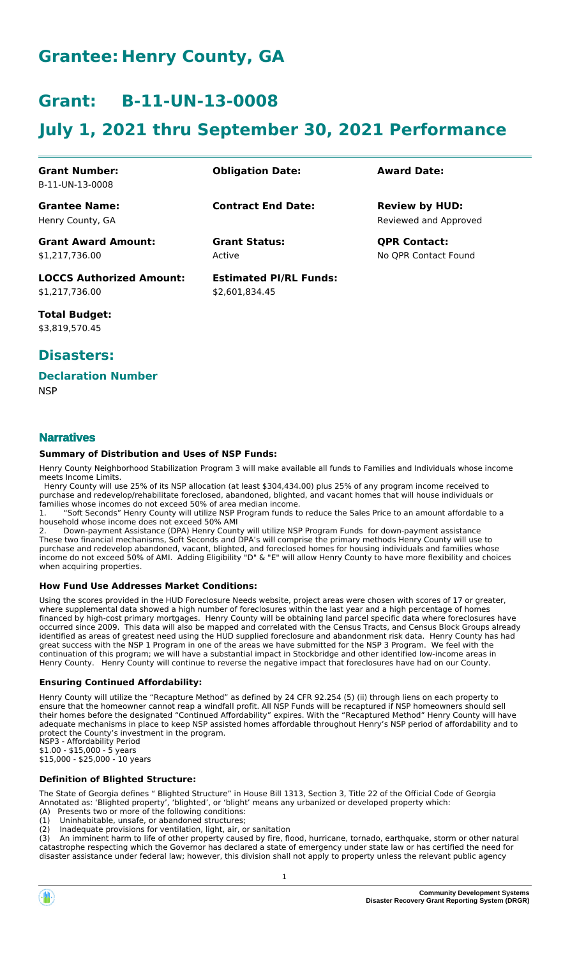## **Grantee: Henry County, GA**

## **Grant: B-11-UN-13-0008**

# **July 1, 2021 thru September 30, 2021 Performance**

| <b>Grant Number:</b><br>B-11-UN-13-0008  | <b>Obligation Date:</b>       | <b>Award Date:</b>                             |
|------------------------------------------|-------------------------------|------------------------------------------------|
| <b>Grantee Name:</b><br>Henry County, GA | <b>Contract End Date:</b>     | <b>Review by HUD:</b><br>Reviewed and Approved |
| <b>Grant Award Amount:</b>               | <b>Grant Status:</b>          | <b>QPR Contact:</b>                            |
| \$1,217,736.00                           | Active                        | No QPR Contact Found                           |
| <b>LOCCS Authorized Amount:</b>          | <b>Estimated PI/RL Funds:</b> |                                                |
| \$1,217,736.00                           | \$2.601.834.45                |                                                |

**Total Budget:** \$3,819,570.45

### **Disasters:**

#### **Declaration Number**

**NSP** 

### **Narratives**

#### **Summary of Distribution and Uses of NSP Funds:**

Henry County Neighborhood Stabilization Program 3 will make available all funds to Families and Individuals whose income meets Income Limits.

 Henry County will use 25% of its NSP allocation (at least \$304,434.00) plus 25% of any program income received to purchase and redevelop/rehabilitate foreclosed, abandoned, blighted, and vacant homes that will house individuals or families whose incomes do not exceed 50% of area median income.

"Soft Seconds" Henry County will utilize NSP Program funds to reduce the Sales Price to an amount affordable to a household whose income does not exceed 50% AMI

2. Down-payment Assistance (DPA) Henry County will utilize NSP Program Funds for down-payment assistance These two financial mechanisms, Soft Seconds and DPA's will comprise the primary methods Henry County will use to purchase and redevelop abandoned, vacant, blighted, and foreclosed homes for housing individuals and families whose income do not exceed 50% of AMI. Adding Eligibility "D" & "E" will allow Henry County to have more flexibility and choices when acquiring properties.

#### **How Fund Use Addresses Market Conditions:**

Using the scores provided in the HUD Foreclosure Needs website, project areas were chosen with scores of 17 or greater, where supplemental data showed a high number of foreclosures within the last year and a high percentage of homes financed by high-cost primary mortgages. Henry County will be obtaining land parcel specific data where foreclosures have occurred since 2009. This data will also be mapped and correlated with the Census Tracts, and Census Block Groups already identified as areas of greatest need using the HUD supplied foreclosure and abandonment risk data. Henry County has had great success with the NSP 1 Program in one of the areas we have submitted for the NSP 3 Program. We feel with the continuation of this program; we will have a substantial impact in Stockbridge and other identified low-income areas in Henry County. Henry County will continue to reverse the negative impact that foreclosures have had on our County.

#### **Ensuring Continued Affordability:**

Henry County will utilize the "Recapture Method" as defined by 24 CFR 92.254 (5) (ii) through liens on each property to ensure that the homeowner cannot reap a windfall profit. All NSP Funds will be recaptured if NSP homeowners should sell their homes before the designated "Continued Affordability" expires. With the "Recaptured Method" Henry County will have adequate mechanisms in place to keep NSP assisted homes affordable throughout Henry's NSP period of affordability and to protect the County's investment in the program.

NSP3 - Affordability Period \$1.00 - \$15,000 - 5 years \$15,000 - \$25,000 - 10 years

#### **Definition of Blighted Structure:**

The State of Georgia defines " Blighted Structure" in House Bill 1313, Section 3, Title 22 of the Official Code of Georgia Annotated as: 'Blighted property', 'blighted', or 'blight' means any urbanized or developed property which:

- (A) Presents two or more of the following conditions:
- (1) Uninhabitable, unsafe, or abandoned structures;<br>(2) Inadequate provisions for ventilation, light, air, c

(2) Inadequate provisions for ventilation, light, air, or sanitation (3) An imminent harm to life of other property caused by fire, fle An imminent harm to life of other property caused by fire, flood, hurricane, tornado, earthquake, storm or other natural catastrophe respecting which the Governor has declared a state of emergency under state law or has certified the need for disaster assistance under federal law; however, this division shall not apply to property unless the relevant public agency

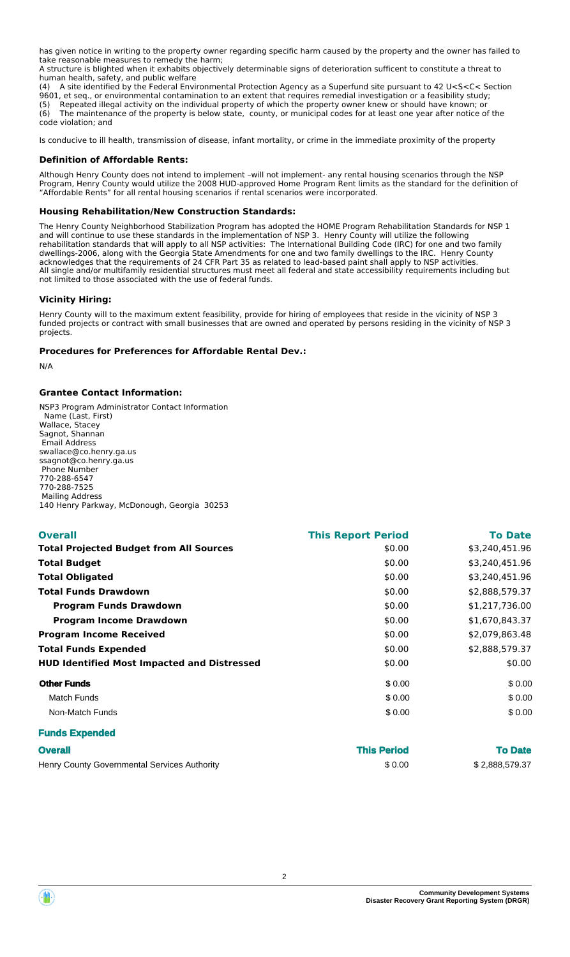has given notice in writing to the property owner regarding specific harm caused by the property and the owner has failed to take reasonable measures to remedy the harm;

A structure is blighted when it exhabits objectively determinable signs of deterioration sufficent to constitute a threat to human health, safety, and public welfare

(4) A site identified by the Federal Environmental Protection Agency as a Superfund site pursuant to 42 U<S<C< Section 9601, et seq., or environmental contamination to an extent that requires remedial investigation or a feasibility study;

(5) Repeated illegal activity on the individual property of which the property owner knew or should have known; or<br>(6) The maintenance of the property is below state, county, or municipal codes for at least one year after The maintenance of the property is below state, county, or municipal codes for at least one year after notice of the code violation; and

Is conducive to ill health, transmission of disease, infant mortality, or crime in the immediate proximity of the property

#### **Definition of Affordable Rents:**

Although Henry County does not intend to implement –will not implement- any rental housing scenarios through the NSP Program, Henry County would utilize the 2008 HUD-approved Home Program Rent limits as the standard for the definition of "Affordable Rents" for all rental housing scenarios if rental scenarios were incorporated.

#### **Housing Rehabilitation/New Construction Standards:**

The Henry County Neighborhood Stabilization Program has adopted the HOME Program Rehabilitation Standards for NSP 1 and will continue to use these standards in the implementation of NSP 3. Henry County will utilize the following rehabilitation standards that will apply to all NSP activities: The International Building Code (IRC) for one and two family dwellings-2006, along with the Georgia State Amendments for one and two family dwellings to the IRC. Henry County acknowledges that the requirements of 24 CFR Part 35 as related to lead-based paint shall apply to NSP activities. All single and/or multifamily residential structures must meet all federal and state accessibility requirements including but not limited to those associated with the use of federal funds.

#### **Vicinity Hiring:**

Henry County will to the maximum extent feasibility, provide for hiring of employees that reside in the vicinity of NSP 3 funded projects or contract with small businesses that are owned and operated by persons residing in the vicinity of NSP 3 projects.

#### **Procedures for Preferences for Affordable Rental Dev.:**

N/A

#### **Grantee Contact Information:**

NSP3 Program Administrator Contact Information Name (Last, First) Wallace, Stacey Sagnot, Shannan Email Address swallace@co.henry.ga.us ssagnot@co.henry.ga.us Phone Number 770-288-6547 770-288-7525 Mailing Address 140 Henry Parkway, McDonough, Georgia 30253

| <b>This Report Period</b> | <b>To Date</b> |
|---------------------------|----------------|
| \$0.00                    | \$3,240,451.96 |
| \$0.00                    | \$3,240,451.96 |
| \$0.00                    | \$3,240,451.96 |
| \$0.00                    | \$2,888,579.37 |
| \$0.00                    | \$1,217,736.00 |
| \$0.00                    | \$1,670,843.37 |
| \$0.00                    | \$2,079,863.48 |
| \$0.00                    | \$2,888,579.37 |
| \$0.00                    | \$0.00         |
| \$0.00                    | \$0.00         |
| \$0.00                    | \$0.00         |
| \$0.00                    | \$0.00         |
|                           |                |
|                           |                |

| <b>Overall</b>                               | <b>This Period</b> | <b>To Date</b> |
|----------------------------------------------|--------------------|----------------|
| Henry County Governmental Services Authority | \$0.00             | \$2,888,579.37 |